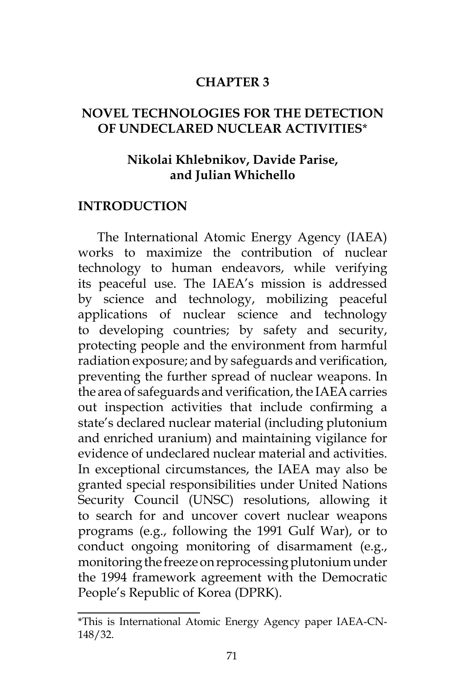#### **CHAPTER 3**

### **NOVEL TECHNOLOGIES FOR THE DETECTION OF UNDECLARED NUCLEAR ACTIVITIES**\*

### **Nikolai Khlebnikov, Davide Parise, and Julian Whichello**

#### **INTRODUCTION**

The International Atomic Energy Agency (IAEA) works to maximize the contribution of nuclear technology to human endeavors, while verifying its peaceful use. The IAEA's mission is addressed by science and technology, mobilizing peaceful applications of nuclear science and technology to developing countries; by safety and security, protecting people and the environment from harmful radiation exposure; and by safeguards and verification, preventing the further spread of nuclear weapons. In the area of safeguards and verification, the IAEA carries out inspection activities that include confirming a state's declared nuclear material (including plutonium and enriched uranium) and maintaining vigilance for evidence of undeclared nuclear material and activities. In exceptional circumstances, the IAEA may also be granted special responsibilities under United Nations Security Council (UNSC) resolutions, allowing it to search for and uncover covert nuclear weapons programs (e.g., following the 1991 Gulf War), or to conduct ongoing monitoring of disarmament (e.g., monitoring the freeze on reprocessing plutonium under the 1994 framework agreement with the Democratic People's Republic of Korea (DPRK).

<sup>\*</sup>This is International Atomic Energy Agency paper IAEA-CN-148/32.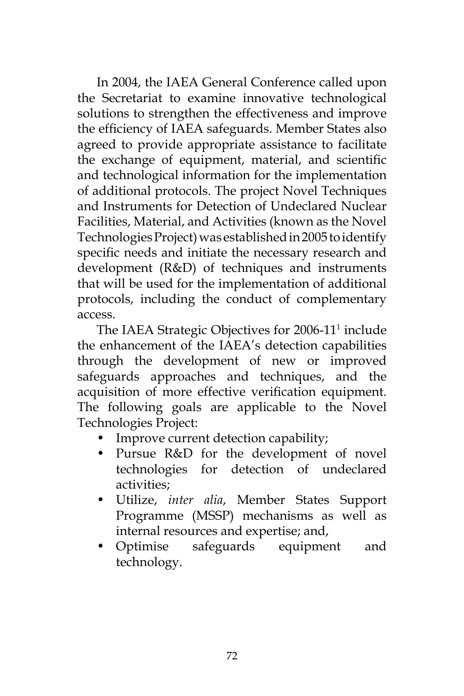In 2004, the IAEA General Conference called upon the Secretariat to examine innovative technological solutions to strengthen the effectiveness and improve the efficiency of IAEA safeguards. Member States also agreed to provide appropriate assistance to facilitate the exchange of equipment, material, and scientific and technological information for the implementation of additional protocols. The project Novel Techniques and Instruments for Detection of Undeclared Nuclear Facilities, Material, and Activities (known as the Novel Technologies Project) was established in 2005 to identify specific needs and initiate the necessary research and development (R&D) of techniques and instruments that will be used for the implementation of additional protocols, including the conduct of complementary access.

The IAEA Strategic Objectives for 2006-11<sup>1</sup> include the enhancement of the IAEA's detection capabilities through the development of new or improved safeguards approaches and techniques, and the acquisition of more effective verification equipment. The following goals are applicable to the Novel Technologies Project:

- Improve current detection capability;
- Pursue R&D for the development of novel technologies for detection of undeclared activities;
- Utilize, *inter alia*, Member States Support Programme (MSSP) mechanisms as well as internal resources and expertise; and,
- Optimise safeguards equipment and technology.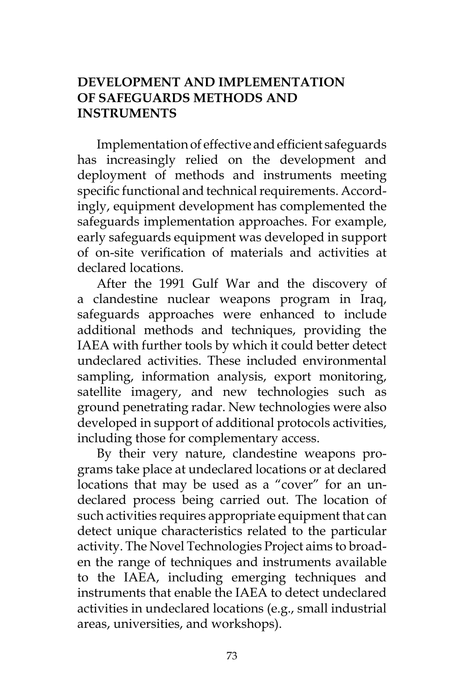# **DEVELOPMENT AND IMPLEMENTATION OF SAFEGUARDS METHODS AND INSTRUMENTS**

Implementation of effective and efficient safeguards has increasingly relied on the development and deployment of methods and instruments meeting specific functional and technical requirements. Accordingly, equipment development has complemented the safeguards implementation approaches. For example, early safeguards equipment was developed in support of on-site verification of materials and activities at declared locations.

After the 1991 Gulf War and the discovery of a clandestine nuclear weapons program in Iraq, safeguards approaches were enhanced to include additional methods and techniques, providing the IAEA with further tools by which it could better detect undeclared activities. These included environmental sampling, information analysis, export monitoring, satellite imagery, and new technologies such as ground penetrating radar. New technologies were also developed in support of additional protocols activities, including those for complementary access.

By their very nature, clandestine weapons programs take place at undeclared locations or at declared locations that may be used as a "cover" for an undeclared process being carried out. The location of such activities requires appropriate equipment that can detect unique characteristics related to the particular activity. The Novel Technologies Project aims to broaden the range of techniques and instruments available to the IAEA, including emerging techniques and instruments that enable the IAEA to detect undeclared activities in undeclared locations (e.g., small industrial areas, universities, and workshops).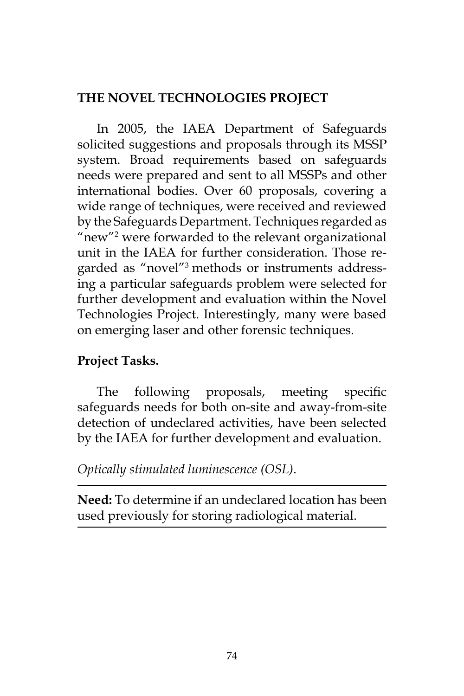# **THE NOVEL TECHNOLOGIES PROJECT**

In 2005, the IAEA Department of Safeguards solicited suggestions and proposals through its MSSP system. Broad requirements based on safeguards needs were prepared and sent to all MSSPs and other international bodies. Over 60 proposals, covering a wide range of techniques, were received and reviewed by the Safeguards Department. Techniques regarded as "new"2 were forwarded to the relevant organizational unit in the IAEA for further consideration. Those regarded as "novel"3 methods or instruments addressing a particular safeguards problem were selected for further development and evaluation within the Novel Technologies Project. Interestingly, many were based on emerging laser and other forensic techniques.

# **Project Tasks.**

The following proposals, meeting specific safeguards needs for both on-site and away-from-site detection of undeclared activities, have been selected by the IAEA for further development and evaluation.

*Optically stimulated luminescence (OSL)*.

**Need:** To determine if an undeclared location has been used previously for storing radiological material.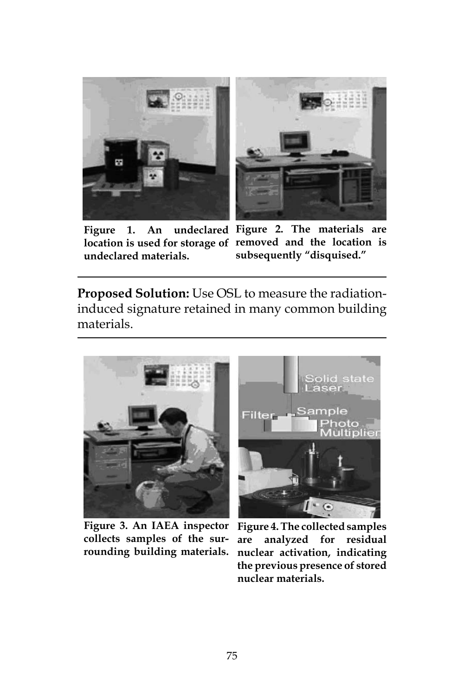



**Figure 1. An undeclared materials.**

**location is used for storage of removed and the location is Figure 2. The materials are subsequently "disquised."**

**Proposed Solution:** Use OSL to measure the radiationinduced signature retained in many common building materials.



**collects samples of the surrounding building materials.**



**Figure 3. An IAEA inspector Figure 4. The collected samples are analyzed for residual nuclear activation, indicating the previous presence of stored nuclear materials.**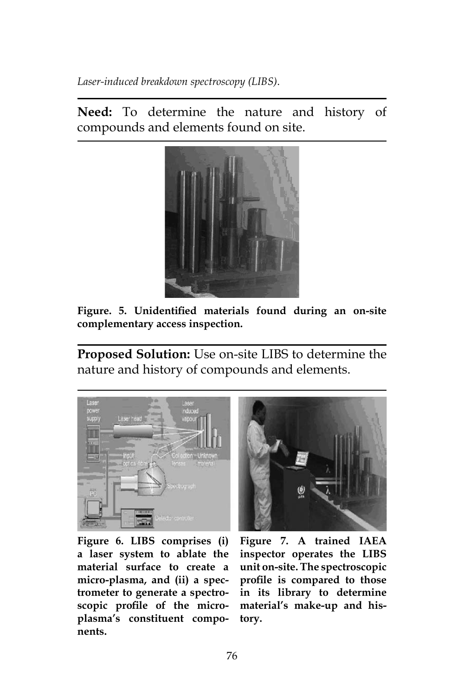*Laser-induced breakdown spectroscopy (LIBS)*.

**Need:** To determine the nature and history of compounds and elements found on site.



**Figure. 5. Unidentified materials found during an on-site complementary access inspection.**

**Proposed Solution:** Use on-site LIBS to determine the nature and history of compounds and elements.



**Figure 6. LIBS comprises (i) Figure 7. A trained IAEA a laser system to ablate the material surface to create a micro-plasma, and (ii) a spectrometer to generate a spectroscopic profile of the microplasma's constituent components.**



**inspector operates the LIBS unit on-site. The spectroscopic profile is compared to those in its library to determine material's make-up and history.**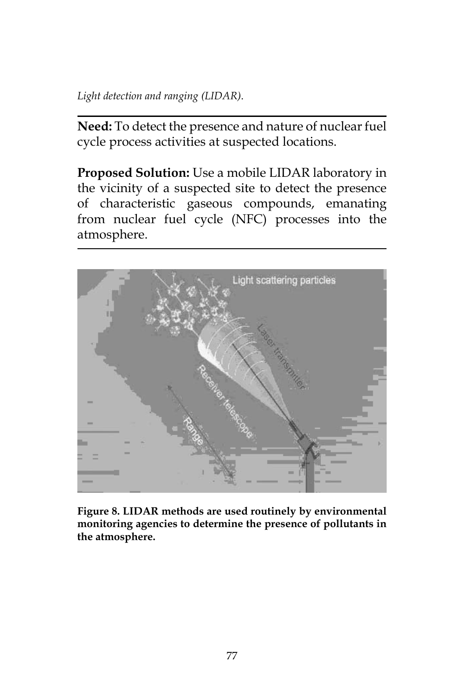*Light detection and ranging (LIDAR)*.

**Need:** To detect the presence and nature of nuclear fuel cycle process activities at suspected locations.

**Proposed Solution:** Use a mobile LIDAR laboratory in the vicinity of a suspected site to detect the presence of characteristic gaseous compounds, emanating from nuclear fuel cycle (NFC) processes into the atmosphere.



**Figure 8. LIDAR methods are used routinely by environmental monitoring agencies to determine the presence of pollutants in the atmosphere.**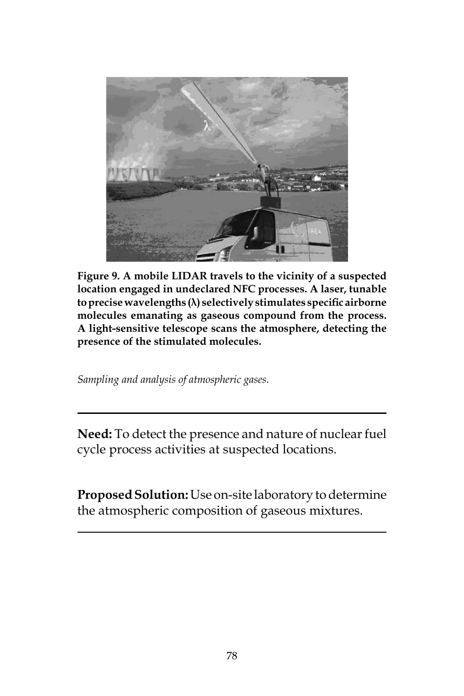

**Figure 9. A mobile LIDAR travels to the vicinity of a suspected location engaged in undeclared NFC processes. A laser, tunable to precise wavelengths (λ) selectively stimulates specific airborne molecules emanating as gaseous compound from the process. A light-sensitive telescope scans the atmosphere, detecting the presence of the stimulated molecules.**

*Sampling and analysis of atmospheric gases*.

**Need:** To detect the presence and nature of nuclear fuel cycle process activities at suspected locations.

**Proposed Solution:** Use on-site laboratory to determine the atmospheric composition of gaseous mixtures.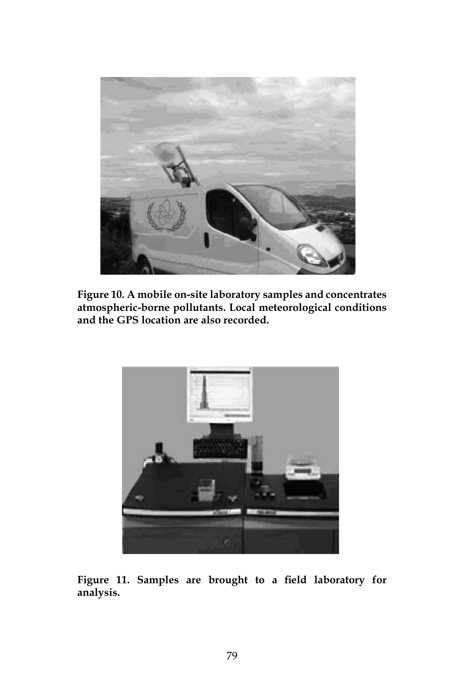

**Figure 10. A mobile on-site laboratory samples and concentrates atmospheric-borne pollutants. Local meteorological conditions and the GPS location are also recorded.**



**Figure 11. Samples are brought to a field laboratory for analysis.**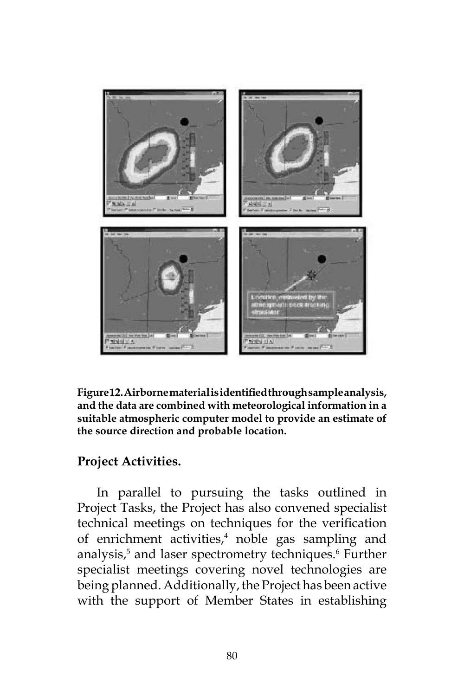

**Figure 12. Airborne material is identified through sample analysis, and the data are combined with meteorological information in a suitable atmospheric computer model to provide an estimate of the source direction and probable location.**

# **Project Activities.**

In parallel to pursuing the tasks outlined in Project Tasks, the Project has also convened specialist technical meetings on techniques for the verification of enrichment activities,<sup>4</sup> noble gas sampling and analysis,<sup>5</sup> and laser spectrometry techniques.<sup>6</sup> Further specialist meetings covering novel technologies are being planned. Additionally, the Project has been active with the support of Member States in establishing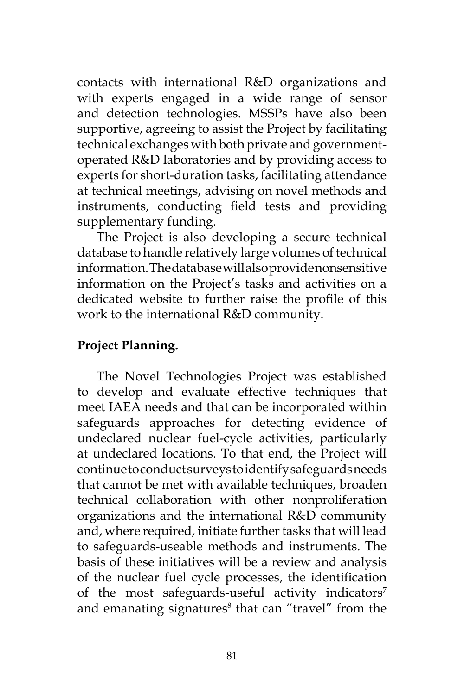contacts with international R&D organizations and with experts engaged in a wide range of sensor and detection technologies. MSSPs have also been supportive, agreeing to assist the Project by facilitating technical exchanges with both private and governmentoperated R&D laboratories and by providing access to experts for short-duration tasks, facilitating attendance at technical meetings, advising on novel methods and instruments, conducting field tests and providing supplementary funding.

The Project is also developing a secure technical database to handle relatively large volumes of technical information. The database will also provide nonsensitive information on the Project's tasks and activities on a dedicated website to further raise the profile of this work to the international R&D community.

# **Project Planning.**

The Novel Technologies Project was established to develop and evaluate effective techniques that meet IAEA needs and that can be incorporated within safeguards approaches for detecting evidence of undeclared nuclear fuel-cycle activities, particularly at undeclared locations. To that end, the Project will continue to conduct surveys to identify safeguards needs that cannot be met with available techniques, broaden technical collaboration with other nonproliferation organizations and the international R&D community and, where required, initiate further tasks that will lead to safeguards-useable methods and instruments. The basis of these initiatives will be a review and analysis of the nuclear fuel cycle processes, the identification of the most safeguards-useful activity indicators<sup>7</sup> and emanating signatures $\delta$  that can "travel" from the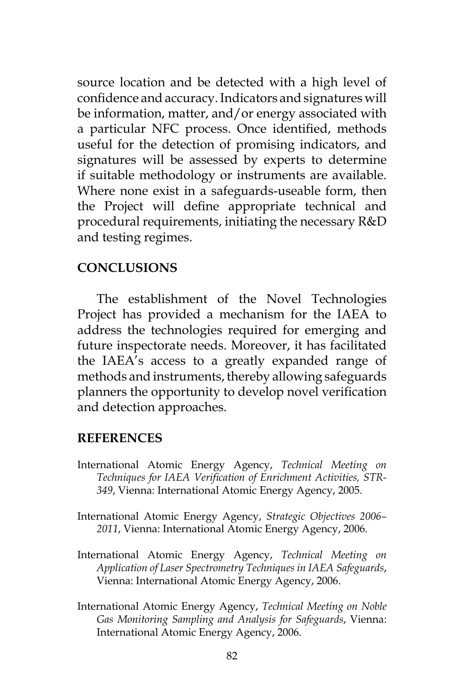source location and be detected with a high level of confidence and accuracy. Indicators and signatures will be information, matter, and/or energy associated with a particular NFC process. Once identified, methods useful for the detection of promising indicators, and signatures will be assessed by experts to determine if suitable methodology or instruments are available. Where none exist in a safeguards-useable form, then the Project will define appropriate technical and procedural requirements, initiating the necessary R&D and testing regimes.

### **CONCLUSIONS**

The establishment of the Novel Technologies Project has provided a mechanism for the IAEA to address the technologies required for emerging and future inspectorate needs. Moreover, it has facilitated the IAEA's access to a greatly expanded range of methods and instruments, thereby allowing safeguards planners the opportunity to develop novel verification and detection approaches.

#### **REFERENCES**

- International Atomic Energy Agency, *Technical Meeting on Techniques for IAEA Verification of Enrichment Activities, STR-349*, Vienna: International Atomic Energy Agency, 2005.
- International Atomic Energy Agency, *Strategic Objectives 2006– 2011*, Vienna: International Atomic Energy Agency, 2006.
- International Atomic Energy Agency, *Technical Meeting on Application of Laser Spectrometry Techniques in IAEA Safeguards*, Vienna: International Atomic Energy Agency, 2006.
- International Atomic Energy Agency, *Technical Meeting on Noble Gas Monitoring Sampling and Analysis for Safeguards*, Vienna: International Atomic Energy Agency, 2006.